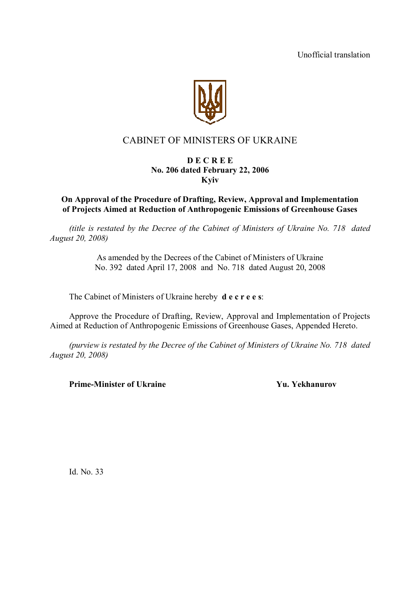Unofficial translation



# CABINET OF MINISTERS OF UKRAINE

## **D E C R E E No. 206 dated February 22, 2006 Kyiv**

# **On Approval of the Procedure of Drafting, Review, Approval and Implementation of Projects Aimed at Reduction of Anthropogenic Emissions of Greenhouse Gases**

*(title is restated by the Decree of the Cabinet of Ministers of Ukraine No. 718 dated August 20, 2008)*

> As amended by the Decrees of the Cabinet of Ministers of Ukraine No. 392 dated April 17, 2008 and No. 718 dated August 20, 2008

The Cabinet of Ministers of Ukraine hereby **d e c r e e s**:

Approve the Procedure of Drafting, Review, Approval and Implementation of Projects Aimed at Reduction of Anthropogenic Emissions of Greenhouse Gases, Appended Hereto.

*(purview is restated by the Decree of the Cabinet of Ministers of Ukraine No. 718 dated August 20, 2008)*

**Prime-Minister of Ukraine 7 (2008) Yu.** Yekhanurov

Id. No. 33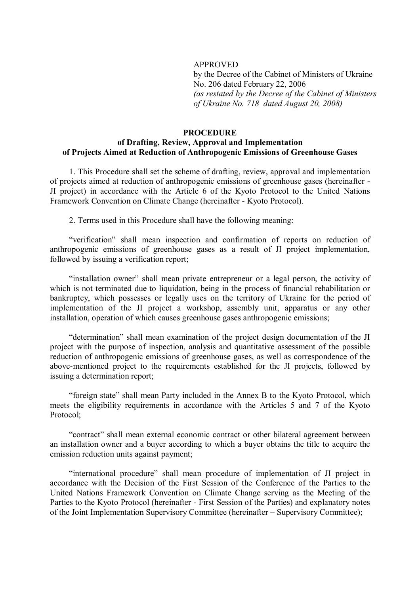#### APPROVED

by the Decree of the Cabinet of Ministers of Ukraine No. 206 dated February 22, 2006 *(as restated by the Decree of the Cabinet of Ministers of Ukraine No. 718 dated August 20, 2008)*

### **PROCEDURE of Drafting, Review, Approval and Implementation of Projects Aimed at Reduction of Anthropogenic Emissions of Greenhouse Gases**

1. This Procedure shall set the scheme of drafting, review, approval and implementation of projects aimed at reduction of anthropogenic emissions of greenhouse gases (hereinafter - JI project) in accordance with the Article 6 of the Kyoto Protocol to the United Nations Framework Convention on Climate Change (hereinafter - Kyoto Protocol).

2. Terms used in this Procedure shall have the following meaning:

"verification" shall mean inspection and confirmation of reports on reduction of anthropogenic emissions of greenhouse gases as a result of JI project implementation, followed by issuing a verification report;

"installation owner" shall mean private entrepreneur or a legal person, the activity of which is not terminated due to liquidation, being in the process of financial rehabilitation or bankruptcy, which possesses or legally uses on the territory of Ukraine for the period of implementation of the JI project a workshop, assembly unit, apparatus or any other installation, operation of which causes greenhouse gases anthropogenic emissions;

"determination" shall mean examination of the project design documentation of the JI project with the purpose of inspection, analysis and quantitative assessment of the possible reduction of anthropogenic emissions of greenhouse gases, as well as correspondence of the above-mentioned project to the requirements established for the JI projects, followed by issuing a determination report;

"foreign state" shall mean Party included in the Annex B to the Kyoto Protocol, which meets the eligibility requirements in accordance with the Articles 5 and 7 of the Kyoto Protocol;

"contract" shall mean external economic contract or other bilateral agreement between an installation owner and a buyer according to which a buyer obtains the title to acquire the emission reduction units against payment;

"international procedure" shall mean procedure of implementation of JI project in accordance with the Decision of the First Session of the Conference of the Parties to the United Nations Framework Convention on Climate Change serving as the Meeting of the Parties to the Kyoto Protocol (hereinafter - First Session of the Parties) and explanatory notes of the Joint Implementation Supervisory Committee (hereinafter – Supervisory Committee);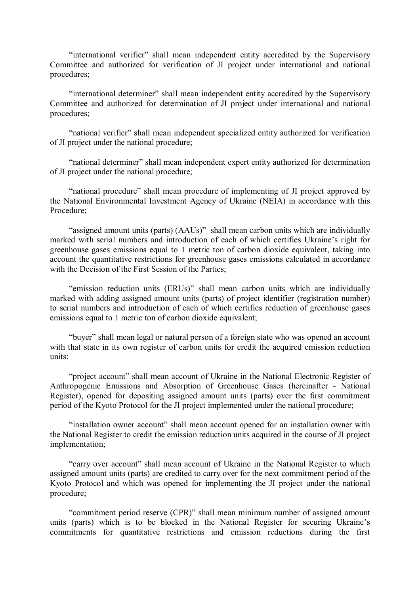"international verifier" shall mean independent entity accredited by the Supervisory Committee and authorized for verification of JI project under international and national procedures;

"international determiner" shall mean independent entity accredited by the Supervisory Committee and authorized for determination of JI project under international and national procedures;

"national verifier" shall mean independent specialized entity authorized for verification of JI project under the national procedure;

"national determiner" shall mean independent expert entity authorized for determination of JI project under the national procedure;

"national procedure" shall mean procedure of implementing of JI project approved by the National Environmental Investment Agency of Ukraine (NEIA) in accordance with this Procedure;

"assigned amount units (parts) (AAUs)" shall mean carbon units which are individually marked with serial numbers and introduction of each of which certifies Ukraine's right for greenhouse gases emissions equal to 1 metric ton of carbon dioxide equivalent, taking into account the quantitative restrictions for greenhouse gases emissions calculated in accordance with the Decision of the First Session of the Parties;

"emission reduction units (ERUs)" shall mean carbon units which are individually marked with adding assigned amount units (parts) of project identifier (registration number) to serial numbers and introduction of each of which certifies reduction of greenhouse gases emissions equal to 1 metric ton of carbon dioxide equivalent;

"buyer" shall mean legal or natural person of a foreign state who was opened an account with that state in its own register of carbon units for credit the acquired emission reduction units;

"project account" shall mean account of Ukraine in the National Electronic Register of Anthropogenic Emissions and Absorption of Greenhouse Gases (hereinafter - National Register), opened for depositing assigned amount units (parts) over the first commitment period of the Kyoto Protocol for the JI project implemented under the national procedure;

"installation owner account" shall mean account opened for an installation owner with the National Register to credit the emission reduction units acquired in the course of JI project implementation;

"carry over account" shall mean account of Ukraine in the National Register to which assigned amount units (parts) are credited to carry over for the next commitment period of the Kyoto Protocol and which was opened for implementing the JI project under the national procedure;

"commitment period reserve (CPR)" shall mean minimum number of assigned amount units (parts) which is to be blocked in the National Register for securing Ukraine's commitments for quantitative restrictions and emission reductions during the first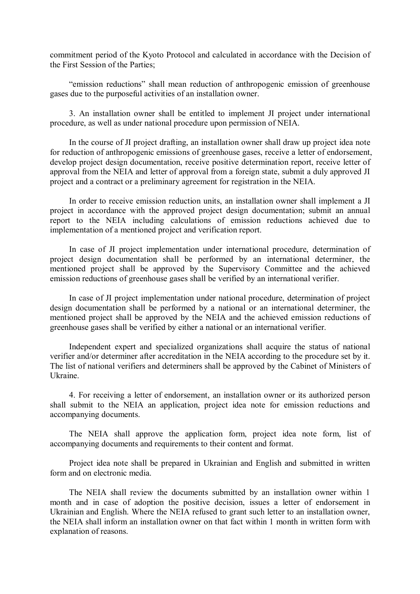commitment period of the Kyoto Protocol and calculated in accordance with the Decision of the First Session of the Parties;

"emission reductions" shall mean reduction of anthropogenic emission of greenhouse gases due to the purposeful activities of an installation owner.

3. An installation owner shall be entitled to implement JI project under international procedure, as well as under national procedure upon permission of NEIA.

In the course of JI project drafting, an installation owner shall draw up project idea note for reduction of anthropogenic emissions of greenhouse gases, receive a letter of endorsement, develop project design documentation, receive positive determination report, receive letter of approval from the NEIA and letter of approval from a foreign state, submit a duly approved JI project and a contract or a preliminary agreement for registration in the NEIA.

In order to receive emission reduction units, an installation owner shall implement a JI project in accordance with the approved project design documentation; submit an annual report to the NEIA including calculations of emission reductions achieved due to implementation of a mentioned project and verification report.

In case of JI project implementation under international procedure, determination of project design documentation shall be performed by an international determiner, the mentioned project shall be approved by the Supervisory Committee and the achieved emission reductions of greenhouse gases shall be verified by an international verifier.

In case of JI project implementation under national procedure, determination of project design documentation shall be performed by a national or an international determiner, the mentioned project shall be approved by the NEIA and the achieved emission reductions of greenhouse gases shall be verified by either a national or an international verifier.

Independent expert and specialized organizations shall acquire the status of national verifier and/or determiner after accreditation in the NEIA according to the procedure set by it. The list of national verifiers and determiners shall be approved by the Cabinet of Ministers of Ukraine.

4. For receiving a letter of endorsement, an installation owner or its authorized person shall submit to the NEIA an application, project idea note for emission reductions and accompanying documents.

The NEIA shall approve the application form, project idea note form, list of accompanying documents and requirements to their content and format.

Project idea note shall be prepared in Ukrainian and English and submitted in written form and on electronic media.

The NEIA shall review the documents submitted by an installation owner within 1 month and in case of adoption the positive decision, issues a letter of endorsement in Ukrainian and English. Where the NEIA refused to grant such letter to an installation owner, the NEIA shall inform an installation owner on that fact within 1 month in written form with explanation of reasons.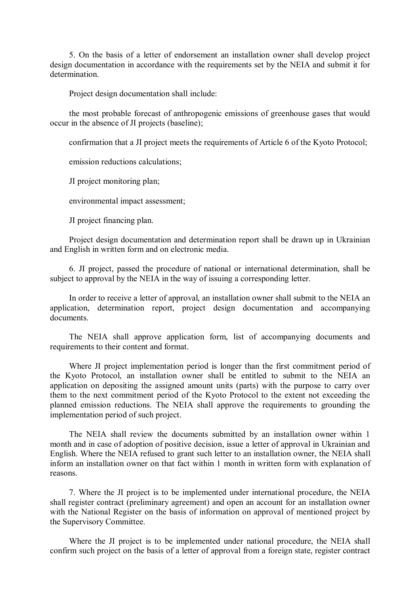5. On the basis of a letter of endorsement an installation owner shall develop project design documentation in accordance with the requirements set by the NEIA and submit it for determination.

Project design documentation shall include:

the most probable forecast of anthropogenic emissions of greenhouse gases that would occur in the absence of JI projects (baseline);

confirmation that a JI project meets the requirements of Article 6 of the Kyoto Protocol;

emission reductions calculations;

JI project monitoring plan;

environmental impact assessment;

JI project financing plan.

Project design documentation and determination report shall be drawn up in Ukrainian and English in written form and on electronic media.

6. JI project, passed the procedure of national or international determination, shall be subject to approval by the NEIA in the way of issuing a corresponding letter.

In order to receive a letter of approval, an installation owner shall submit to the NEIA an application, determination report, project design documentation and accompanying documents.

The NEIA shall approve application form, list of accompanying documents and requirements to their content and format.

Where JI project implementation period is longer than the first commitment period of the Kyoto Protocol, an installation owner shall be entitled to submit to the NEIA an application on depositing the assigned amount units (parts) with the purpose to carry over them to the next commitment period of the Kyoto Protocol to the extent not exceeding the planned emission reductions. The NEIA shall approve the requirements to grounding the implementation period of such project.

The NEIA shall review the documents submitted by an installation owner within 1 month and in case of adoption of positive decision, issue a letter of approval in Ukrainian and English. Where the NEIA refused to grant such letter to an installation owner, the NEIA shall inform an installation owner on that fact within 1 month in written form with explanation of reasons.

7. Where the JI project is to be implemented under international procedure, the NEIA shall register contract (preliminary agreement) and open an account for an installation owner with the National Register on the basis of information on approval of mentioned project by the Supervisory Committee.

Where the JI project is to be implemented under national procedure, the NEIA shall confirm such project on the basis of a letter of approval from a foreign state, register contract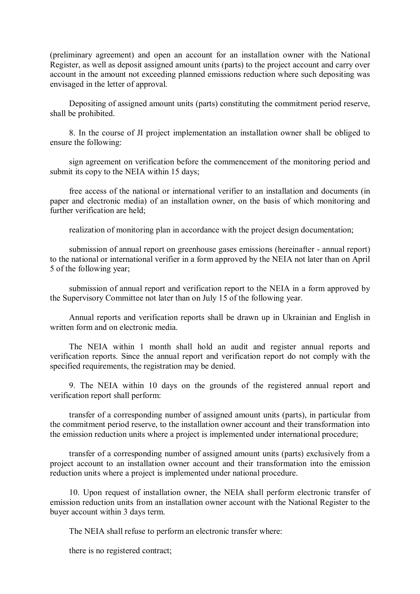(preliminary agreement) and open an account for an installation owner with the National Register, as well as deposit assigned amount units (parts) to the project account and carry over account in the amount not exceeding planned emissions reduction where such depositing was envisaged in the letter of approval.

Depositing of assigned amount units (parts) constituting the commitment period reserve, shall be prohibited.

8. In the course of JI project implementation an installation owner shall be obliged to ensure the following:

sign agreement on verification before the commencement of the monitoring period and submit its copy to the NEIA within 15 days;

free access of the national or international verifier to an installation and documents (in paper and electronic media) of an installation owner, on the basis of which monitoring and further verification are held;

realization of monitoring plan in accordance with the project design documentation;

submission of annual report on greenhouse gases emissions (hereinafter - annual report) to the national or international verifier in a form approved by the NEIA not later than on April 5 of the following year;

submission of annual report and verification report to the NEIA in a form approved by the Supervisory Committee not later than on July 15 of the following year.

Annual reports and verification reports shall be drawn up in Ukrainian and English in written form and on electronic media.

The NEIA within 1 month shall hold an audit and register annual reports and verification reports. Since the annual report and verification report do not comply with the specified requirements, the registration may be denied.

9. The NEIA within 10 days on the grounds of the registered annual report and verification report shall perform:

transfer of a corresponding number of assigned amount units (parts), in particular from the commitment period reserve, to the installation owner account and their transformation into the emission reduction units where a project is implemented under international procedure;

transfer of a corresponding number of assigned amount units (parts) exclusively from a project account to an installation owner account and their transformation into the emission reduction units where a project is implemented under national procedure.

10. Upon request of installation owner, the NEIA shall perform electronic transfer of emission reduction units from an installation owner account with the National Register to the buyer account within 3 days term.

The NEIA shall refuse to perform an electronic transfer where:

there is no registered contract;